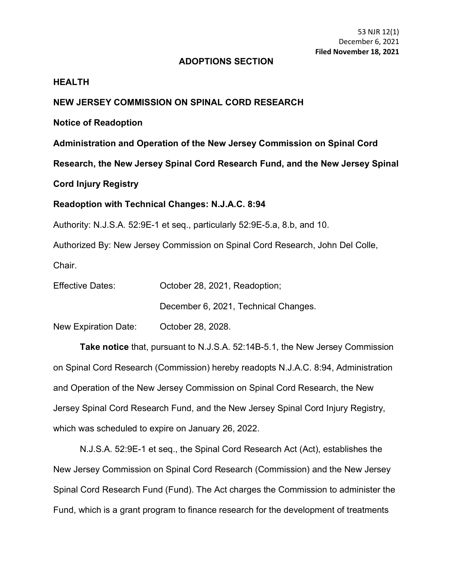#### **ADOPTIONS SECTION**

### **HEALTH**

### **NEW JERSEY COMMISSION ON SPINAL CORD RESEARCH**

**Notice of Readoption**

**Administration and Operation of the New Jersey Commission on Spinal Cord** 

**Research, the New Jersey Spinal Cord Research Fund, and the New Jersey Spinal** 

**Cord Injury Registry**

#### **Readoption with Technical Changes: N.J.A.C. 8:94**

Authority: N.J.S.A. 52:9E-1 et seq., particularly 52:9E-5.a, 8.b, and 10.

Authorized By: New Jersey Commission on Spinal Cord Research, John Del Colle,

Chair.

| <b>Effective Dates:</b> | October 28, 2021, Readoption;        |
|-------------------------|--------------------------------------|
|                         | December 6, 2021, Technical Changes. |

New Expiration Date: October 28, 2028.

**Take notice** that, pursuant to N.J.S.A. 52:14B-5.1, the New Jersey Commission on Spinal Cord Research (Commission) hereby readopts N.J.A.C. 8:94, Administration and Operation of the New Jersey Commission on Spinal Cord Research, the New Jersey Spinal Cord Research Fund, and the New Jersey Spinal Cord Injury Registry, which was scheduled to expire on January 26, 2022.

N.J.S.A. 52:9E-1 et seq., the Spinal Cord Research Act (Act), establishes the New Jersey Commission on Spinal Cord Research (Commission) and the New Jersey Spinal Cord Research Fund (Fund). The Act charges the Commission to administer the Fund, which is a grant program to finance research for the development of treatments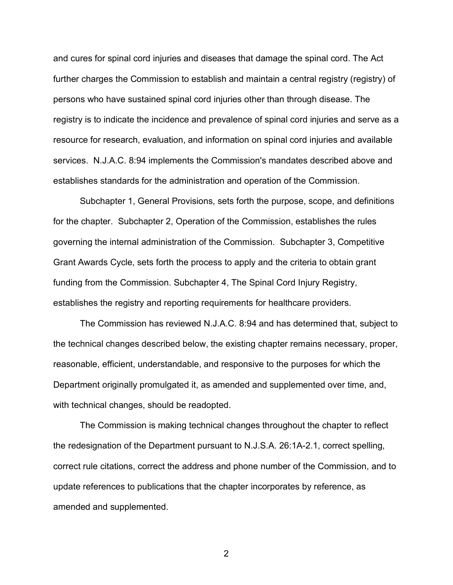and cures for spinal cord injuries and diseases that damage the spinal cord. The Act further charges the Commission to establish and maintain a central registry (registry) of persons who have sustained spinal cord injuries other than through disease. The registry is to indicate the incidence and prevalence of spinal cord injuries and serve as a resource for research, evaluation, and information on spinal cord injuries and available services. N.J.A.C. 8:94 implements the Commission's mandates described above and establishes standards for the administration and operation of the Commission.

Subchapter 1, General Provisions, sets forth the purpose, scope, and definitions for the chapter. Subchapter 2, Operation of the Commission, establishes the rules governing the internal administration of the Commission. Subchapter 3, Competitive Grant Awards Cycle, sets forth the process to apply and the criteria to obtain grant funding from the Commission. Subchapter 4, The Spinal Cord Injury Registry, establishes the registry and reporting requirements for healthcare providers.

The Commission has reviewed N.J.A.C. 8:94 and has determined that, subject to the technical changes described below, the existing chapter remains necessary, proper, reasonable, efficient, understandable, and responsive to the purposes for which the Department originally promulgated it, as amended and supplemented over time, and, with technical changes, should be readopted.

The Commission is making technical changes throughout the chapter to reflect the redesignation of the Department pursuant to N.J.S.A. 26:1A-2.1, correct spelling, correct rule citations, correct the address and phone number of the Commission, and to update references to publications that the chapter incorporates by reference, as amended and supplemented.

2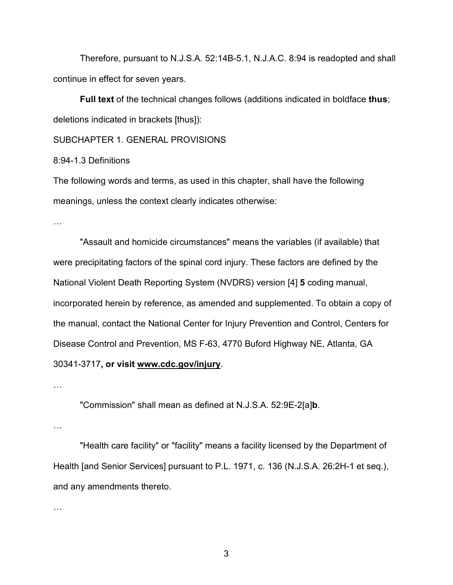Therefore, pursuant to N.J.S.A. 52:14B-5.1, N.J.A.C. 8:94 is readopted and shall continue in effect for seven years.

**Full text** of the technical changes follows (additions indicated in boldface **thus**; deletions indicated in brackets [thus]):

SUBCHAPTER 1. GENERAL PROVISIONS

8:94-1.3 Definitions

The following words and terms, as used in this chapter, shall have the following meanings, unless the context clearly indicates otherwise:

…

"Assault and homicide circumstances" means the variables (if available) that were precipitating factors of the spinal cord injury. These factors are defined by the National Violent Death Reporting System (NVDRS) version [4] **5** coding manual, incorporated herein by reference, as amended and supplemented. To obtain a copy of the manual, contact the National Center for Injury Prevention and Control, Centers for Disease Control and Prevention, MS F-63, 4770 Buford Highway NE, Atlanta, GA 30341-3717**, or visit www.cdc.gov/injury**.

…

"Commission" shall mean as defined at N.J.S.A. 52:9E-2[a]**b**.

…

"Health care facility" or "facility" means a facility licensed by the Department of Health [and Senior Services] pursuant to P.L. 1971, c. 136 (N.J.S.A. 26:2H-1 et seq.), and any amendments thereto.

…

3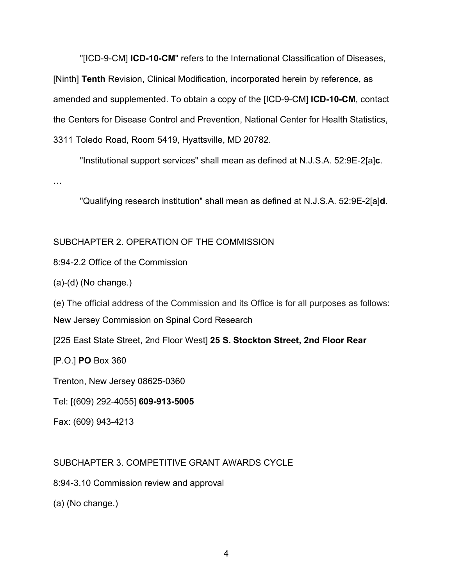"[ICD-9-CM] **ICD-10-CM**" refers to the International Classification of Diseases, [Ninth] **Tenth** Revision, Clinical Modification, incorporated herein by reference, as amended and supplemented. To obtain a copy of the [ICD-9-CM] **ICD-10-CM**, contact the Centers for Disease Control and Prevention, National Center for Health Statistics, 3311 Toledo Road, Room 5419, Hyattsville, MD 20782.

"Institutional support services" shall mean as defined at N.J.S.A. 52:9E-2[a]**c**.

…

"Qualifying research institution" shall mean as defined at N.J.S.A. 52:9E-2[a]**d**.

## SUBCHAPTER 2. OPERATION OF THE COMMISSION

8:94-2.2 Office of the Commission

(a)-(d) (No change.)

(e) The official address of the Commission and its Office is for all purposes as follows: New Jersey Commission on Spinal Cord Research

[225 East State Street, 2nd Floor West] **25 S. Stockton Street, 2nd Floor Rear**

[P.O.] **PO** Box 360

Trenton, New Jersey 08625-0360

Tel: [(609) 292-4055] **609-913-5005**

Fax: (609) 943-4213

## SUBCHAPTER 3. COMPETITIVE GRANT AWARDS CYCLE

8:94-3.10 Commission review and approval

(a) (No change.)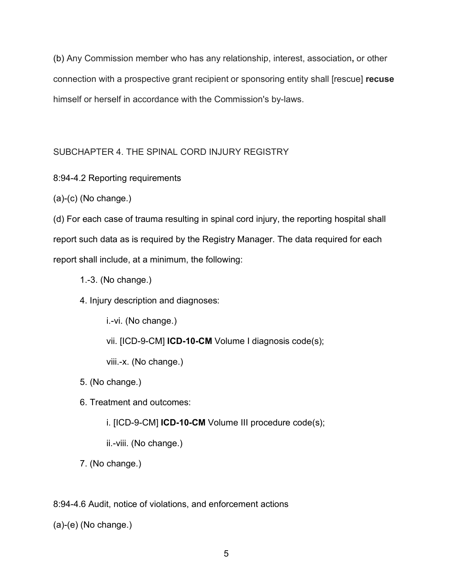(b) Any Commission member who has any relationship, interest, association**,** or other connection with a prospective grant recipient or sponsoring entity shall [rescue] **recuse** himself or herself in accordance with the Commission's by-laws.

# SUBCHAPTER 4. THE SPINAL CORD INJURY REGISTRY

8:94-4.2 Reporting requirements

(a)-(c) (No change.)

(d) For each case of trauma resulting in spinal cord injury, the reporting hospital shall report such data as is required by the Registry Manager. The data required for each report shall include, at a minimum, the following:

- 1.-3. (No change.)
- 4. Injury description and diagnoses:

i.-vi. (No change.) vii. [ICD-9-CM] **ICD-10-CM** Volume I diagnosis code(s); viii.-x. (No change.)

5. (No change.)

6. Treatment and outcomes:

i. [ICD-9-CM] **ICD-10-CM** Volume III procedure code(s);

ii.-viii. (No change.)

7. (No change.)

8:94-4.6 Audit, notice of violations, and enforcement actions

(a)-(e) (No change.)